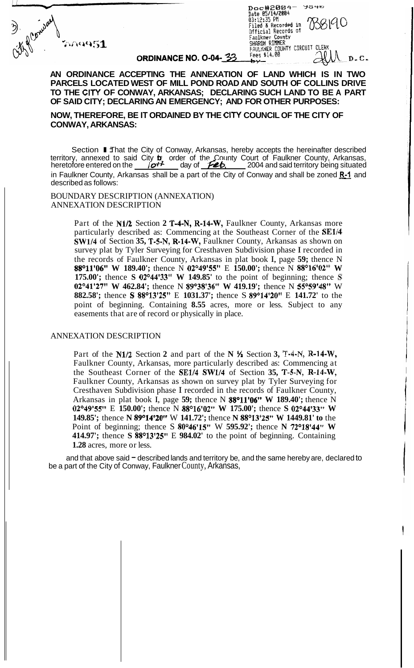

 $m$ 951

## ORDINANCE NO. 0-04-33

 $7040$ Official Records of<br>Faulkner County<br>SHARON RIMMER SHARON RIMMER<br>FAULKNER COUNTY CIRCUIT CLERM<br>Fees \$14.00  $D$ .  $C$ .

## **AN ORDINANCE ACCEPTING THE ANNEXATION OF LAND WHICH IS IN TWO PARCELS LOCATED WEST OF MILL POND ROAD AND SOUTH OF COLLINS DRIVE TO THE CITY OF CONWAY, ARKANSAS; DECLARING SUCH LAND TO BE A PART OF SAID CITY; DECLARING AN EMERGENCY; AND FOR OTHER PURPOSES:**

**NOW, THEREFORE, BE IT ORDAINED BY THE CITY COUNCIL OF THE CITY OF CONWAY, ARKANSAS:** 

Section I Jhat the City of Conway, Arkansas, hereby accepts the hereinafter described territory, annexed to said City b order of the County Court of Faulkner County, Arkansas, heretofore entered on the *lot*<sup>4</sup> day of **Feb.** 2004 and said territory being situated heretofore entered on the *\_\_\_\_ lot* in day of *\_\_feb*,  $\frac{1}{2}$  2004 and said territory being situated in Faulkner County, Arkansas shall be a part of the City of Conway and shall be zoned **R-1** and described as follows:

BOUNDARY DESCRIPTION (ANNEXATION) ANNEXATION DESCRIPTION

> Part of the **N1/2** Section 2 T-4-N, R-14-W, Faulkner County, Arkansas more particularly described as: Commencing at the Southeast Corner of the **SE1/4 SW1/4** of Section **35, T-5-N, R-14-W,** Faulkner County, Arkansas as shown on survey plat by Tyler Surveying for Cresthaven Subdivision phase I recorded in the records of Faulkner County, Arkansas in plat book I, page **59;** thence N **88°11'06"** W 189.40'; thence N 02°49'55" E 150.00'; thence N 88°16'02" W **175.00';** thence **S 02°44'33"** W **149.85'** to the point of beginning; thence **S 02°41'27"** W 462.84'; thence N 89°38'36" W 419.19'; thence N 55°59'48" W **882.58';** thence **S 88<sup>o</sup>13'25" E 1031.37';** thence **S 89<sup>o</sup>14'20" E 141.72'** to the point of beginning. Containing **8.55** acres, more or less. Subject to any easements that are of record or physically in place.

#### ANNEXATION DESCRIPTION

Part of the **N1/2** Section 2 and part of the **N** <sup>1</sup>/<sub>2</sub> Section 3, T-4-N, **R-14-W**, Faulkner County, Arkansas, more particularly described as: Commencing at the Southeast Corner of the **SE1/4 SW1/4** of Section **35, T-5-N, R-14-W,**  Faulkner County, Arkansas as shown on survey plat by Tyler Surveying for Cresthaven Subdivision phase I recorded in the records of Faulkner County, Arkansas in plat book I, page **59;** thence N **88°11'06" W 189.40';** thence N 02°49'55" E 150.00'; thence N 88°16'02" W 175.00'; thence S 02°44'33" W **149.85';** thence **N 89°14'20''** W 141.72'; thence **N 88°13'25''** W 1449.81' to the Point of beginning; thence S 80°46'15" W 595.92'; thence N 72°18'44" W **414.97';** thence **S 88O13'25''** E **984.02'** to the point of beginning. Containing **1.28** acres, more or less.

and that above said  $=$  described lands and territory be, and the same hereby are, declared to be a part of the City of Conway, Faulkner County, Arkansas,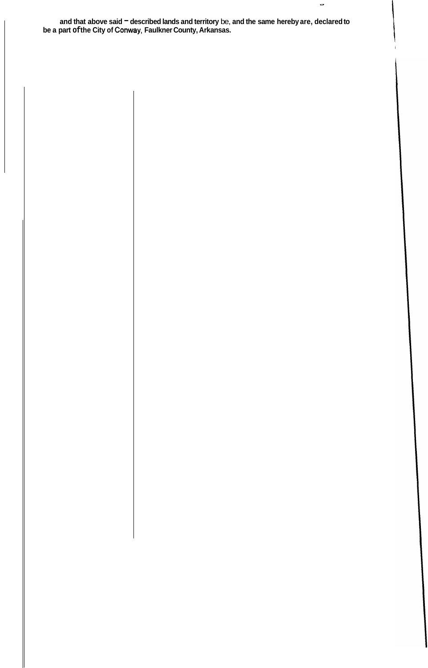and that above said <sup>-</sup> described lands and territory be, and the same hereby are, declared to **be a part of the City of Conway, Faulkner County, Arkansas.** 

 $\bullet$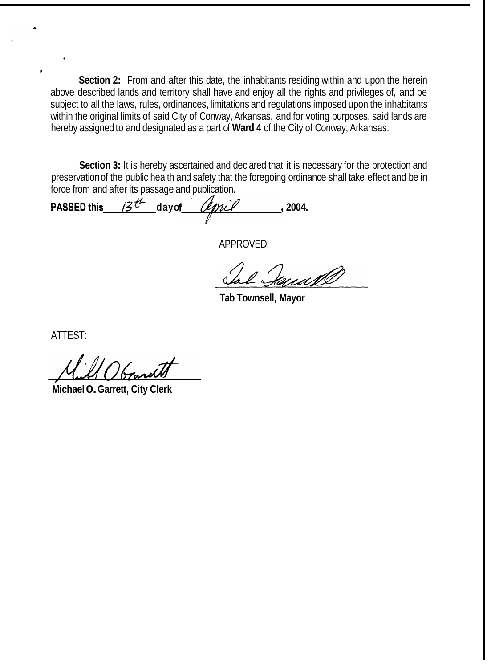**Section 2:** From and after this date, the inhabitants residing within and upon the herein above described lands and territory shall have and enjoy all the rights and privileges of, and be subject to all the laws, rules, ordinances, limitations and regulations imposed upon the inhabitants within the original limits of said City of Conway, Arkansas, and for voting purposes, said lands are hereby assigned to and designated as a part of **Ward 4** of the City of Conway, Arkansas.

**Section 3:** It is hereby ascertained and declared that it is necessary for the protection and preservation of the public health and safety that the foregoing ordinance shall take effect and be in force from and after its passage and publication.

**PASSED this**  $13^{t-1}$  day of *lignil* 2004.

APPROVED:

**Tab Townsell, Mayor** 

ATTEST:

;.

\*

**Michael 0. Garrett, City Clerk**